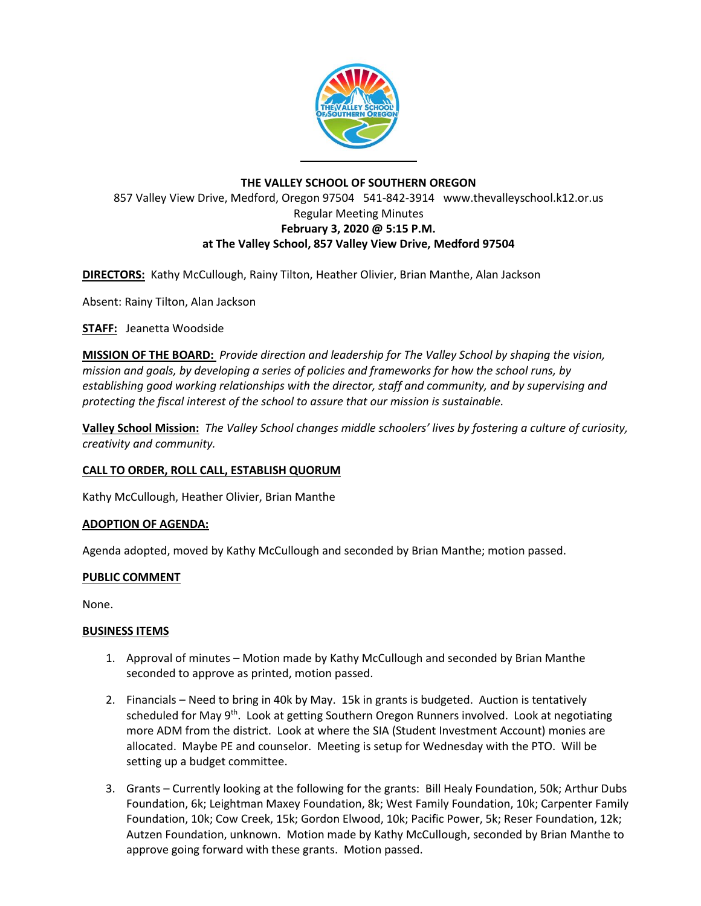

# **THE VALLEY SCHOOL OF SOUTHERN OREGON** 857 Valley View Drive, Medford, Oregon 97504 541-842-3914 www.thevalleyschool.k12.or.us Regular Meeting Minutes **February 3, 2020 @ 5:15 P.M. at The Valley School, 857 Valley View Drive, Medford 97504**

**DIRECTORS:** Kathy McCullough, Rainy Tilton, Heather Olivier, Brian Manthe, Alan Jackson

Absent: Rainy Tilton, Alan Jackson

**STAFF:** Jeanetta Woodside

**MISSION OF THE BOARD:** *Provide direction and leadership for The Valley School by shaping the vision, mission and goals, by developing a series of policies and frameworks for how the school runs, by establishing good working relationships with the director, staff and community, and by supervising and protecting the fiscal interest of the school to assure that our mission is sustainable.*

**Valley School Mission:** *The Valley School changes middle schoolers' lives by fostering a culture of curiosity, creativity and community.*

### **CALL TO ORDER, ROLL CALL, ESTABLISH QUORUM**

Kathy McCullough, Heather Olivier, Brian Manthe

### **ADOPTION OF AGENDA:**

Agenda adopted, moved by Kathy McCullough and seconded by Brian Manthe; motion passed.

### **PUBLIC COMMENT**

None.

### **BUSINESS ITEMS**

- 1. Approval of minutes Motion made by Kathy McCullough and seconded by Brian Manthe seconded to approve as printed, motion passed.
- 2. Financials Need to bring in 40k by May. 15k in grants is budgeted. Auction is tentatively scheduled for May 9<sup>th</sup>. Look at getting Southern Oregon Runners involved. Look at negotiating more ADM from the district. Look at where the SIA (Student Investment Account) monies are allocated. Maybe PE and counselor. Meeting is setup for Wednesday with the PTO. Will be setting up a budget committee.
- 3. Grants Currently looking at the following for the grants: Bill Healy Foundation, 50k; Arthur Dubs Foundation, 6k; Leightman Maxey Foundation, 8k; West Family Foundation, 10k; Carpenter Family Foundation, 10k; Cow Creek, 15k; Gordon Elwood, 10k; Pacific Power, 5k; Reser Foundation, 12k; Autzen Foundation, unknown. Motion made by Kathy McCullough, seconded by Brian Manthe to approve going forward with these grants. Motion passed.